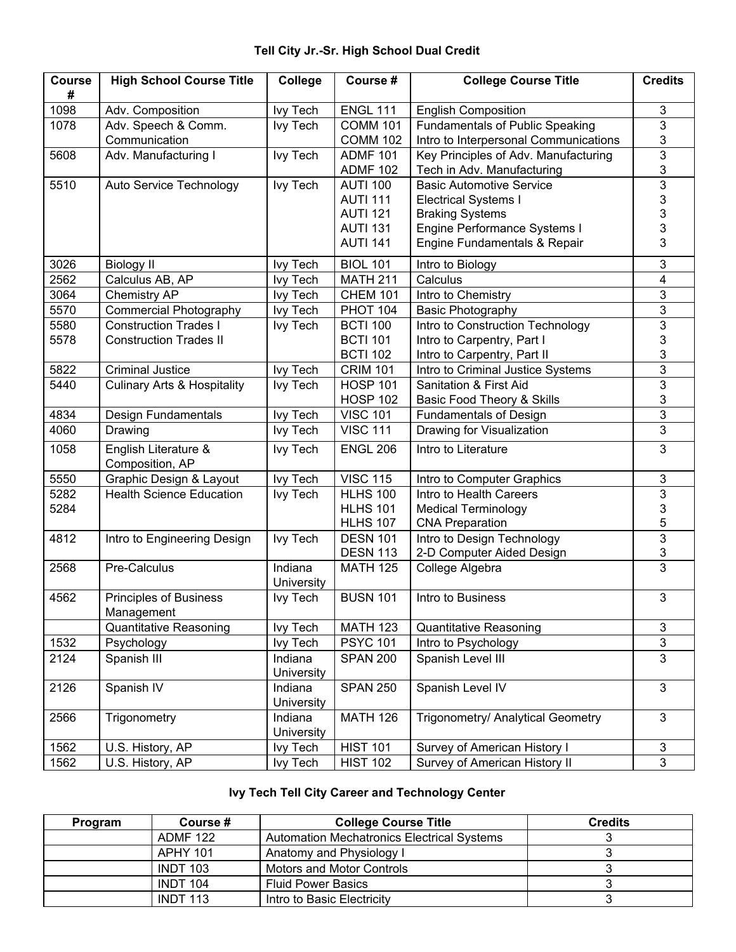## **Tell City Jr.-Sr. High School Dual Credit**

| <b>Course</b><br># | <b>High School Course Title</b>             | College               | Course #        | <b>College Course Title</b>            | <b>Credits</b> |
|--------------------|---------------------------------------------|-----------------------|-----------------|----------------------------------------|----------------|
| 1098               | Adv. Composition                            | <b>Ivy Tech</b>       | <b>ENGL 111</b> | <b>English Composition</b>             | 3              |
| 1078               | Adv. Speech & Comm.                         | <b>Ivy Tech</b>       | <b>COMM 101</b> | <b>Fundamentals of Public Speaking</b> | $\overline{3}$ |
|                    | Communication                               |                       | <b>COMM 102</b> | Intro to Interpersonal Communications  | 3              |
| 5608               | Adv. Manufacturing I                        | <b>Ivy Tech</b>       | <b>ADMF 101</b> | Key Principles of Adv. Manufacturing   | 3              |
|                    |                                             |                       | <b>ADMF 102</b> | Tech in Adv. Manufacturing             | 3              |
| 5510               | Auto Service Technology                     | <b>Ivy Tech</b>       | <b>AUTI 100</b> | <b>Basic Automotive Service</b>        | $\overline{3}$ |
|                    |                                             |                       | <b>AUTI 111</b> | <b>Electrical Systems I</b>            | 3              |
|                    |                                             |                       | <b>AUTI 121</b> | <b>Braking Systems</b>                 | 3              |
|                    |                                             |                       | <b>AUTI 131</b> | Engine Performance Systems I           | 3              |
|                    |                                             |                       | <b>AUTI 141</b> | Engine Fundamentals & Repair           | 3              |
| 3026               | <b>Biology II</b>                           | <b>Ivy Tech</b>       | <b>BIOL 101</b> | Intro to Biology                       | 3              |
| 2562               | Calculus AB, AP                             | <b>Ivy Tech</b>       | <b>MATH 211</b> | Calculus                               | 4              |
| 3064               | Chemistry AP                                | <b>Ivy Tech</b>       | <b>CHEM 101</b> | Intro to Chemistry                     | 3              |
| 5570               | <b>Commercial Photography</b>               | lvy Tech              | <b>PHOT 104</b> | <b>Basic Photography</b>               | $\overline{3}$ |
| 5580               | <b>Construction Trades I</b>                | <b>Ivy Tech</b>       | <b>BCTI 100</b> | Intro to Construction Technology       | $\overline{3}$ |
| 5578               | <b>Construction Trades II</b>               |                       | <b>BCTI 101</b> | Intro to Carpentry, Part I             | 3              |
|                    |                                             |                       | <b>BCTI 102</b> | Intro to Carpentry, Part II            | 3              |
| 5822               | <b>Criminal Justice</b>                     | <b>Ivy Tech</b>       | <b>CRIM 101</b> | Intro to Criminal Justice Systems      | $\overline{3}$ |
| 5440               | <b>Culinary Arts &amp; Hospitality</b>      | <b>Ivy Tech</b>       | <b>HOSP 101</b> | Sanitation & First Aid                 | $\overline{3}$ |
|                    |                                             |                       | <b>HOSP 102</b> | Basic Food Theory & Skills             | 3              |
| 4834               | Design Fundamentals                         | <b>Ivy Tech</b>       | <b>VISC 101</b> | <b>Fundamentals of Design</b>          | 3              |
| 4060               | Drawing                                     | <b>Ivy Tech</b>       | <b>VISC 111</b> | Drawing for Visualization              | 3              |
| 1058               | English Literature &<br>Composition, AP     | <b>Ivy Tech</b>       | <b>ENGL 206</b> | Intro to Literature                    | 3              |
| 5550               | Graphic Design & Layout                     | <b>Ivy Tech</b>       | <b>VISC 115</b> | Intro to Computer Graphics             | 3              |
| 5282               | <b>Health Science Education</b>             | <b>Ivy Tech</b>       | <b>HLHS 100</b> | Intro to Health Careers                | 3              |
| 5284               |                                             |                       | <b>HLHS 101</b> | <b>Medical Terminology</b>             | 3              |
|                    |                                             |                       | <b>HLHS 107</b> | <b>CNA Preparation</b>                 | 5              |
| 4812               | Intro to Engineering Design                 | <b>Ivy Tech</b>       | <b>DESN 101</b> | Intro to Design Technology             | 3              |
|                    |                                             |                       | <b>DESN 113</b> | 2-D Computer Aided Design              | 3              |
| 2568               | Pre-Calculus                                | Indiana<br>University | <b>MATH 125</b> | College Algebra                        | 3              |
| 4562               | <b>Principles of Business</b><br>Management | lvy Tech              | <b>BUSN 101</b> | Intro to Business                      | 3              |
|                    | <b>Quantitative Reasoning</b>               | Ivy Tech              | <b>MATH 123</b> | Quantitative Reasoning                 | $\mathfrak{B}$ |
| 1532               | Psychology                                  | <b>Ivy Tech</b>       | <b>PSYC 101</b> | Intro to Psychology                    | $\mathfrak{S}$ |
| 2124               | Spanish III                                 | Indiana<br>University | <b>SPAN 200</b> | Spanish Level III                      | $\overline{3}$ |
| 2126               | Spanish IV                                  | Indiana<br>University | <b>SPAN 250</b> | Spanish Level IV                       | $\mathfrak{S}$ |
| 2566               | Trigonometry                                | Indiana<br>University | <b>MATH 126</b> | Trigonometry/ Analytical Geometry      | 3              |
| 1562               | U.S. History, AP                            | Ivy Tech              | <b>HIST 101</b> | Survey of American History I           | 3              |
| 1562               | U.S. History, AP                            | Ivy Tech              | <b>HIST 102</b> | Survey of American History II          | 3              |

## **Ivy Tech Tell City Career and Technology Center**

| Program | Course #        | <b>College Course Title</b>                       | <b>Credits</b> |
|---------|-----------------|---------------------------------------------------|----------------|
|         | <b>ADMF 122</b> | <b>Automation Mechatronics Electrical Systems</b> |                |
|         | <b>APHY 101</b> | Anatomy and Physiology I                          |                |
|         | <b>INDT 103</b> | <b>Motors and Motor Controls</b>                  |                |
|         | <b>INDT 104</b> | <b>Fluid Power Basics</b>                         |                |
|         | <b>INDT 113</b> | Intro to Basic Electricity                        |                |